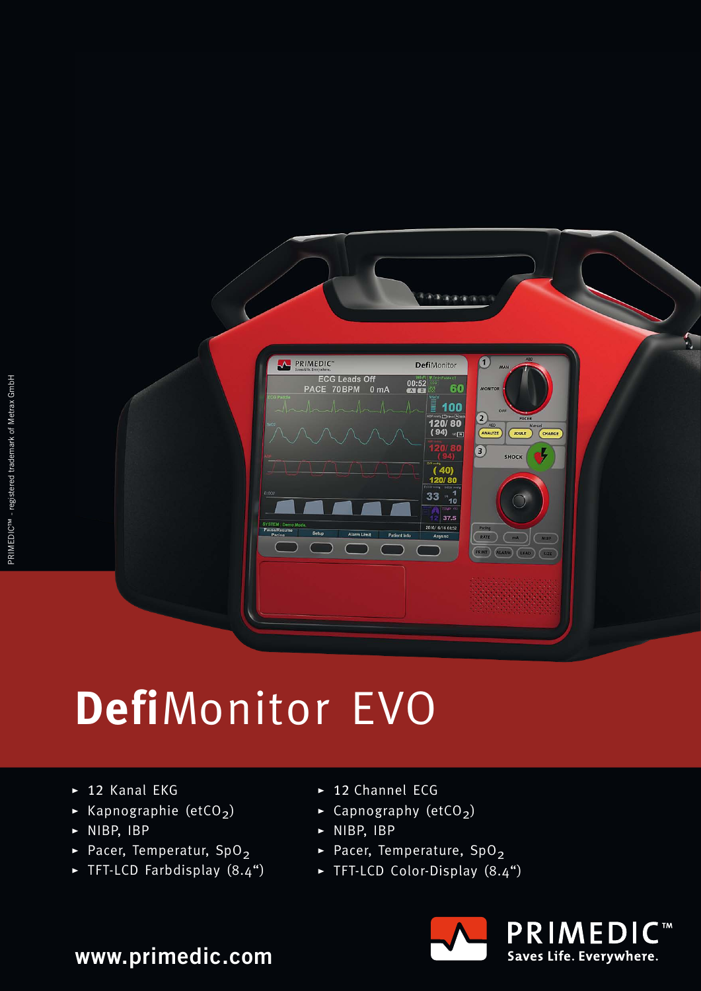

## **Defi**Monitor EVO

- $\blacktriangleright$  12 Kanal EKG
- $\blacktriangleright$  Kapnographie (etCO<sub>2</sub>)
- $\triangleright$  NIBP, IBP
- Pacer, Temperatur, SpO<sub>2</sub>
- $\blacktriangleright$  TFT-LCD Farbdisplay  $(8.4")$
- $\blacktriangleright$  12 Channel ECG
- $\overline{\phantom{a}}$  Capnography (etCO<sub>2</sub>)
- $\triangleright$  NIBP, IBP
- Pacer, Temperature,  $SpO<sub>2</sub>$
- $\blacktriangleright$  TFT-LCD Color-Display  $(8.4<sup>4</sup>)$